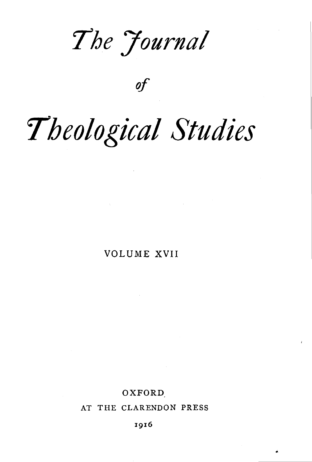$The$  *Journal* 

of

# *rheological Studies*

VOLUME XVII

## OXFORD.

AT THE CLARENDON PRESS

1916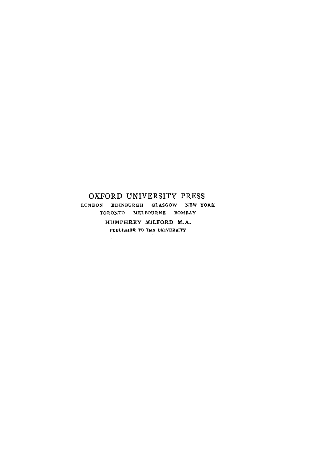### OXFORD UNIVERSITY PRESS LONDON EDINBURGH GLASGOW NEW YORK TORONTO MELBOURNE BOMBAY HUMPHREY MILFORD M.A. PUBLISHER TO THE UNIVERSITY

 $\overline{a}$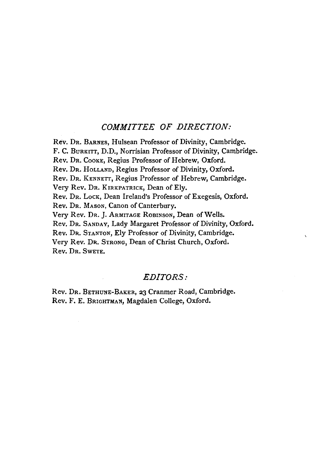#### *COMMITTEE OF DIRECTION:*

Rev. DR. BARNES, Hulsean Professor of Divinity, Cambridge. F. C. BuRKITT, D.D., Norrisian Professor of Divinity, Cambridge. Rev. Dr. COOKE, Regius Professor of Hebrew, Oxford. Rev. DR. HOLLAND, Regius Professor of Divinity, Oxford. Rev. DR. KENNETT, Regius Professor of Hebrew, Cambridge. Very Rev. DR. KIRKPATRICK, Dean of Ely. Rev. Dr. Lock, Dean Ireland's Professor of Exegesis, Oxford. Rev. DR. MASON, Canon of Canterbury. Very Rev. DR. J. ARMITAGE RoBINsoN, Dean of Wells. Rev. DR. SANDAY, Lady Margaret Professor of Divinity, Oxford. Rev. DR. STANTON, Ely Professor of Divinity, Cambridge. Very Rev. DR. STRONG, Dean of Christ Church, Oxford. Rev. DR. SwETE.

#### *EDITORS:*

Rev. DR. BETHUNE-BAKER, 23 Cranmer Road, Cambridge. Rev. F. E. BRIGHTMAN, Magdalen College, Oxford.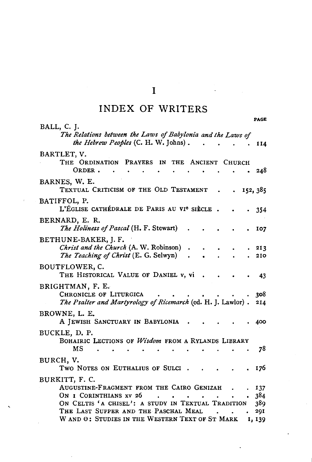## I

# INDEX OF WRITERS

| BALL, C. J.<br>The Relations between the Laws of Babylonia and the Laws of<br>the Hebrew Peoples (C. H. W. Johns).         | $\sim 100$ | 114        |
|----------------------------------------------------------------------------------------------------------------------------|------------|------------|
| BARTLET, V.<br>THE ORDINATION PRAYERS IN THE ANCIENT CHURCH<br>ORDER.                                                      |            | 248        |
| BARNES, W. E.<br>TEXTUAL CRITICISM OF THE OLD TESTAMENT<br>$\ddot{\phantom{a}}$                                            |            | .152,385   |
| BATIFFOL, P.<br>L'ÉGLISE CATHÉDRALE DE PARIS AU VI <sup>e</sup> SIÈCLE.                                                    |            | 354        |
| BERNARD, E. R.<br><i>The Holiness of Pascal</i> (H. F. Stewart)                                                            |            | 107        |
| BETHUNE-BAKER, J. F.<br>Christ and the Church (A. W. Robinson)<br>The Teaching of Christ (E. G. Selwyn)                    |            | 213<br>210 |
| BOUTFLOWER, C.<br>THE HISTORICAL VALUE OF DANIEL v, vi                                                                     |            | 43         |
| BRIGHTMAN, F. E.<br>CHRONICLE OF LITURGICA<br>The Psalter and Martyrology of Ricemarch (ed. H. J. Lawlor).                 |            | 308<br>214 |
| BROWNE, L. E.<br>A JEWISH SANCTUARY IN BABYLONIA                                                                           |            | 400        |
| BUCKLE, D. P.<br>BOHAIRIC LECTIONS OF Wisdom FROM A RYLANDS LIBRARY<br>мs                                                  |            | 78         |
| BURCH, V.<br>TWO NOTES ON EUTHALIUS OF SULCI.                                                                              |            | 176        |
| BURKITT, F. C.<br>AUGUSTINE-FRAGMENT FROM THE CAIRO GENIZAH<br>$\ddot{\phantom{0}}$<br>ON I CORINTHIANS XV 26<br>$\bullet$ |            | 137<br>384 |
| ON CELTIS 'A CHISEL': A STUDY IN TEXTUAL TRADITION                                                                         |            | 389        |
| THE LAST SUPPER AND THE PASCHAL MEAL<br>$\ddot{\phantom{0}}$                                                               |            | 291        |
| W AND $\Theta$ : STUDIES IN THE WESTERN TEXT OF ST MARK                                                                    |            | 1, 139     |

PAGE

 $\mathcal{I}$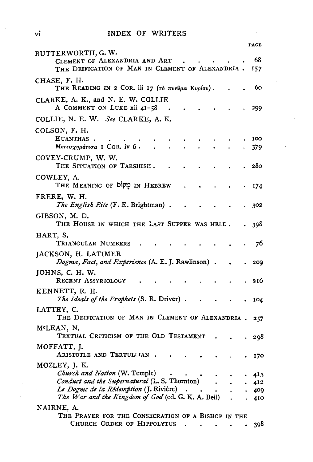|                                                                                                         | PAGE        |
|---------------------------------------------------------------------------------------------------------|-------------|
| BUTTERWORTH, G. W.<br>CLEMENT OF ALEXANDRIA AND ART<br>THE DEIFICATION OF MAN IN CLEMENT OF ALEXANDRIA. | 68<br>157   |
| CHASE, F. H.<br>THE READING IN 2 COR. iii 17 (το πνεύμα Κυρίου).                                        | 60          |
| CLARKE, A. K., and N. E. W. COLLIE<br>A COMMENT ON LUKE xii 41-58                                       | 299         |
| COLLIE, N. E. W. See CLARKE, A. K.                                                                      |             |
| COLSON, F. H.<br>EUANTHAS.                                                                              | 100         |
| Μετεσχημάτισα I COR. iv 6.                                                                              | 379         |
| COVEY-CRUMP, W. W.<br>THE SITUATION OF TARSHISH.                                                        | 280         |
| COWLEY, A.<br>IN HEBREW כַוֹּסוֹם IN HEBREW                                                             | 174         |
| FRERE, W. H.<br><i>The English Rite</i> (F. E. Brightman).                                              | 302         |
| GIBSON, M. D.<br>THE HOUSE IN WHICH THE LAST SUPPER WAS HELD.                                           | 398         |
| HART, S.<br>TRIANGULAR NUMBERS                                                                          | 76          |
| JACKSON, H. LATIMER<br>Dogma, Fact, and Experience (A. E. J. Rawlinson).                                | 209         |
| JOHNS, C. H. W.<br>RECENT ASSYRIOLOGY                                                                   | 216         |
| KENNETT, R. H.<br>The Ideals of the Prophets (S. R. Driver).                                            | 104         |
| LATTEY, C.<br>THE DEIFICATION OF MAN IN CLEMENT OF ALEXANDRIA.                                          | 257         |
| MªLEAN, N.<br>TEXTUAL CRITICISM OF THE OLD TESTAMENT                                                    |             |
| MOFFATT, J.                                                                                             | 298         |
| ARISTOTLE AND TERTULLIAN.                                                                               | 170         |
| MOZLEY, J. K.<br>Church and Nation (W. Temple)                                                          |             |
| <i>Conduct and the Supernatural</i> (L. S. Thornton)                                                    | 413<br>.412 |
| Le Dogme de la Rédemption (J. Rivière)                                                                  | 409         |
| The War and the Kingdom of God (ed. G. K. A. Bell)                                                      | 410         |
| NAIRNE, A.                                                                                              |             |
| THE PRAYER FOR THE CONSECRATION OF A BISHOP IN THE                                                      |             |
| CHURCH ORDER OF HIPPOLYTUS<br>۰<br>the contract of the contract of the                                  | 398         |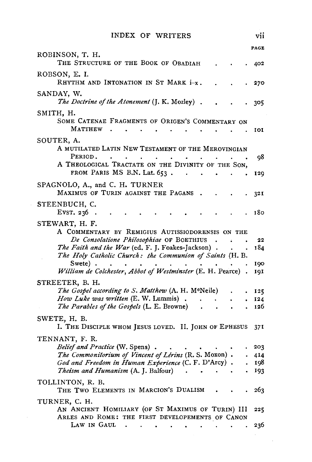|                                                                                                                                                      | <b>PAGE</b> |
|------------------------------------------------------------------------------------------------------------------------------------------------------|-------------|
| ROBINSON, T. H.<br>THE STRUCTURE OF THE BOOK OF OBADIAH                                                                                              | 402         |
| ROBSON, E. I.<br>RHYTHM AND INTONATION IN ST MARK i-x.                                                                                               | 270         |
| SANDAY, W.<br>The Doctrine of the Atonement (J. K. Mozley).                                                                                          | 305         |
| SMITH, H.<br>SOME CATENAE FRAGMENTS OF ORIGEN'S COMMENTARY ON                                                                                        |             |
| MATTHEW.<br>$\bullet$ .<br><br><br><br><br><br><br><br><br><br><br><br><br><br>$\bullet$<br><b>Contract Contract</b>                                 | 101         |
| SOUTER, A.<br>A MUTILATED LATIN NEW TESTAMENT OF THE MEROVINGIAN                                                                                     |             |
| PERIOD.<br>$\bullet$<br>A THEOLOGICAL TRACTATE ON THE DIVINITY OF THE SON,<br>FROM PARIS MS B.N. Lat. 653.<br><b>Contract Contract</b><br>$\sim 100$ | 98<br>129   |
| SPAGNOLO, A., and C. H. TURNER                                                                                                                       |             |
| MAXIMUS OF TURIN AGAINST THE PAGANS.<br>STEENBUCH, C.                                                                                                | 321         |
| EVST. 236<br>$\sim$                                                                                                                                  | 180         |
| STEWART, H. F.<br>A COMMENTARY BY REMIGIUS AUTISSIODORENSIS ON THE                                                                                   |             |
| De Consolatione Philosophiae OF BOETHIUS                                                                                                             | 22          |
| The Faith and the War (ed. F. J. Foakes-Jackson).<br>The Holy Catholic Church: the Communion of Saints (H. B.                                        | 184         |
| Swete).<br>$\sim 100$ km s $^{-1}$<br>$\sim$ $\sim$<br>William de Colchester, Abbot of Westminster (E. H. Pearce).                                   | 190<br>IQI  |
| STREETER, B. H.                                                                                                                                      |             |
| The Gospel according to S. Matthew (A. H. M°Neile)                                                                                                   | 125         |
| How Luke was written (E. W. Lummis).<br>$\Delta \sim 10$                                                                                             | 124         |
| The Parables of the Gospels (L. E. Browne)<br>$\mathcal{A}(\mathcal{A})$ and $\mathcal{A}(\mathcal{A})$                                              | 126         |
| SWETE, H. B.<br>I. THE DISCIPLE WHOM JESUS LOVED. II. JOHN OF EPHESUS 371                                                                            |             |
| TENNANT, F. R.                                                                                                                                       |             |
| Belief and Practice (W. Spens).                                                                                                                      | 203         |
| The Commonitorium of Vincent of Lérins (R. S. Moxon).<br>God and Freedom in Human Experience (C. F. D'Arcy).                                         | 414         |
| <i>Theism and Humanism</i> (A. J. Balfour) .<br>$\bullet$ .                                                                                          | 198<br>193  |
| TOLLINTON, R. B.<br>THE TWO ELEMENTS IN MARCION'S DUALISM                                                                                            | 263         |
| TURNER, C. H.                                                                                                                                        |             |
| AN ANCIENT HOMILIARY (OF ST MAXIMUS OF TURIN) III<br>ARLES AND ROME: THE FIRST DEVELOPEMENTS OF CANON                                                | 225         |
| LAW IN GAUL<br>$\ddot{\phantom{a}}$<br>$\bullet$<br>$\bullet$<br>$\bullet$<br>$\bullet$<br>$\bullet$                                                 | 236         |

 $\mathcal{L}$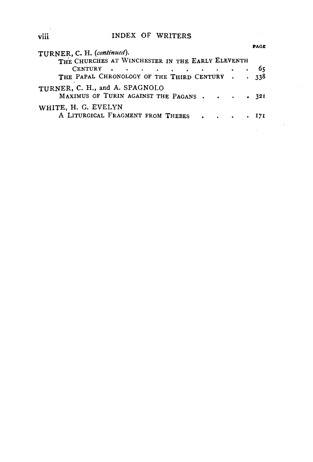|                                                                             |  | PAGE |
|-----------------------------------------------------------------------------|--|------|
| TURNER, C. H. (continued).                                                  |  |      |
| THE CHURCHES AT WINCHESTER IN THE EARLY ELEVENTH                            |  |      |
| CENTURY $\cdot \cdot \cdot \cdot \cdot \cdot \cdot \cdot \cdot \cdot \cdot$ |  | - 65 |
| THE PAPAL CHRONOLOGY OF THE THIRD CENTURY 338                               |  |      |
| TURNER, C. H., and A. SPAGNOLO<br>MAXIMUS OF TURIN AGAINST THE PAGANS 321   |  |      |
| WHITE, H. G. EVELYN                                                         |  |      |
| A LITURGICAL FRAGMENT FROM THEBES 171                                       |  |      |
|                                                                             |  |      |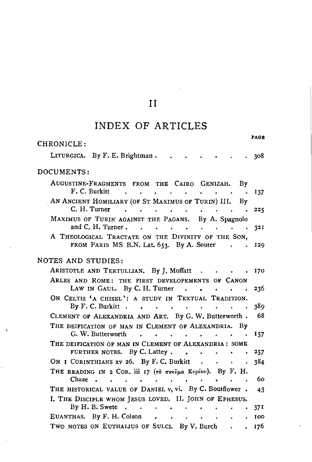## INDEX OF ARTICLES

PAGE

| CHRONICLE:                                                                                                                                                                                               |                 |
|----------------------------------------------------------------------------------------------------------------------------------------------------------------------------------------------------------|-----------------|
| LITURGICA. By F. E. Brightman.                                                                                                                                                                           | 308             |
| DOCUMENTS:                                                                                                                                                                                               |                 |
| AUGUSTINE-FRAGMENTS FROM THE CAIRO GENIZAH.<br>By<br>F. C. Burkitt<br><b>Contract Contract</b><br>$\ddot{\phantom{a}}$<br>$\overline{a}$<br>$\sim$ 100 $\mu$<br>$\ddot{\phantom{0}}$                     | 137             |
| AN ANCIENT HOMILIARY (OF ST MAXIMUS OF TURIN) III.<br>By<br>C. H. Turner<br>$\ddot{\phantom{a}}$<br>$\ddot{\phantom{a}}$<br>$\sim$<br>$\mathbf{r} = \mathbf{r} + \mathbf{r}$ .<br>$\cdot$ .<br>$\bullet$ | 225             |
| MAXIMUS OF TURIN AGAINST THE PAGANS. By A. Spagnolo<br>and C. H. Turner.                                                                                                                                 | 321             |
| A THEOLOGICAL TRACTATE ON THE DIVINITY OF THE SON,<br>FROM PARIS MS B.N. Lat. 653. By A. Souter<br>$\ddot{\phantom{a}}$                                                                                  | 129             |
| NOTES AND STUDIES:                                                                                                                                                                                       |                 |
| ARISTOTLE AND TERTULLIAN. By J. Moffatt<br>$\sim$ $\sim$<br><b>Contract Contract Ave</b>                                                                                                                 | 170             |
| ARLES AND ROME: THE FIRST DEVELOPEMENTS OF CANON<br>LAW IN GAUL. By C. H. Turner                                                                                                                         | 236             |
| ON CELTIS 'A CHISEL': A STUDY IN TEXTUAL TRADITION.<br>By $F. C.$ Burkitt.<br>$\bullet$<br>$\ddot{\phantom{0}}$<br><b>Contract Contract</b><br>$\bullet$<br>$\sim$ $\sim$<br>$\bullet$                   | 389             |
| CLEMENT OF ALEXANDRIA AND ART. By G. W. Butterworth.                                                                                                                                                     | - 68            |
| THE DEIFICATION OF MAN IN CLEMENT OF ALEXANDRIA.<br>Bv<br>G. W. Butterworth<br>$\mathbf{r}$<br>$\ddot{\phantom{a}}$<br>$\mathbf{r} = \mathbf{r}$                                                         | 157             |
| THE DEIFICATION OF MAN IN CLEMENT OF ALEXANDRIA: SOME<br>FURTHER NOTES. By C. Lattey.<br>$\sim 100$ km s $^{-1}$                                                                                         | 257             |
| ON I CORINTHIANS XV 26. By F. C. Burkit                                                                                                                                                                  | 384             |
| THE READING IN 2 COR. iii 17 (Tò mvevpa Kupiov). By F. H.<br>Chase                                                                                                                                       | 60              |
| THE HISTORICAL VALUE OF DANIEL v, vi. By C. Boutflower.                                                                                                                                                  | 43              |
| I. THE DISCIPLE WHOM JESUS LOVED. II. JOHN OF EPHESUS.                                                                                                                                                   |                 |
| By H. B. Swete<br>$\sim 10^{-10}$ km s $^{-1}$                                                                                                                                                           | 37 <sup>1</sup> |
| EUANTHAS. By F. H. Colson.<br>$\mathbf{r} = \mathbf{r}$<br>$\sim$<br>$\sim$<br>TWO NOTES ON EUTHALIUS OF SULCI. By V. Burch.                                                                             | 100             |
|                                                                                                                                                                                                          | 176             |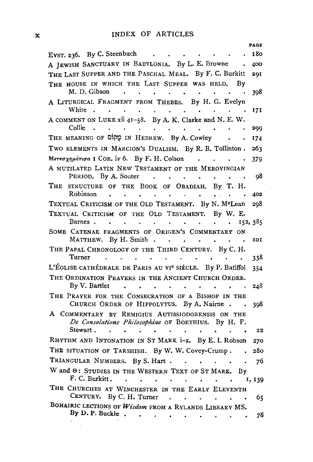|                                                                                                                                                                                                                                                                         | <b>PAGE</b> |
|-------------------------------------------------------------------------------------------------------------------------------------------------------------------------------------------------------------------------------------------------------------------------|-------------|
| EvsT. 236. By C. Steenbuch<br>$\mathcal{L}^{\mathcal{A}}$ . The contract of the contract of the contract of the contract of the contract of the contract of the contract of the contract of the contract of the contract of the contract of the contract of the contrac | 180         |
| A JEWISH SANCTUARY IN BABYLONIA. By L. E. Browne                                                                                                                                                                                                                        | 400         |
| THE LAST SUPPER AND THE PASCHAL MEAL. By F. C. Burkitt                                                                                                                                                                                                                  | <b>29I</b>  |
| THE HOUSE IN WHICH THE LAST SUPPER WAS HELD.<br>Βy                                                                                                                                                                                                                      |             |
| M. D. Gibson<br>$\sim 10^{-11}$<br>$\bullet$<br>$\blacksquare$                                                                                                                                                                                                          | 398         |
| A LITURGICAL FRAGMENT FROM THEBES. By H. G. Evelyn<br>White .<br>$\bullet$<br>$\bullet$ .<br>$\ddot{\phantom{a}}$<br>$\sim$                                                                                                                                             | 171         |
| A COMMENT ON LUKE xii 41-58. By A. K. Clarke and N. E. W.<br>Collie<br><b>Contract Contract</b><br>$\ddot{\phantom{a}}$<br>$\ddot{\phantom{0}}$<br>$\mathbf{A}$ and $\mathbf{A}$ and $\mathbf{A}$                                                                       | 299         |
| THE MEANING OF Dipp IN HEBREW. By A. Cowley                                                                                                                                                                                                                             | 174         |
| TWO ELEMENTS IN MARCION'S DUALISM. By R. B. Tollinton.                                                                                                                                                                                                                  | 263         |
| Μετεσχημάτισα I COR. iv 6. By F. H. Colson<br><b>Contract Contract Contract</b>                                                                                                                                                                                         | 379         |
| A MUTILATED LATIN NEW TESTAMENT OF THE MEROVINGIAN                                                                                                                                                                                                                      |             |
| PERIOD. By A. Souter<br>$\cdot$                                                                                                                                                                                                                                         | 98          |
| STRUCTURE OF THE BOOK OF OBADIAH. By T. H.<br>Тне                                                                                                                                                                                                                       |             |
| Robinson<br>$\sim$ 400 $\sim$<br>$\bullet$<br>$\bullet$                                                                                                                                                                                                                 | 402         |
| TEXTUAL CRITICISM OF THE OLD TESTAMENT. By N. M°Lean                                                                                                                                                                                                                    | 298         |
| TEXTUAL CRITICISM OF THE OLD TESTAMENT.<br>By W. E.<br>Barnes.<br>$\ddot{\phantom{0}}$<br>$\blacksquare$<br>$\ddot{\phantom{a}}$                                                                                                                                        | 152, 385    |
| SOME CATENAE FRAGMENTS OF ORIGEN'S COMMENTARY ON<br>By H. Smith $\ldots$<br>MATTHEW.<br>$\sim$<br>$\bullet$                                                                                                                                                             | IOI         |
| THE PAPAL CHRONOLOGY OF THE THIRD CENTURY. By C. H.<br>Turner<br>$\sim$<br>$\ddot{\phantom{0}}$<br>$\bullet$                                                                                                                                                            | 338         |
| L'ÉGLISE CATHÉDRALE DE PARIS AU VI <sup>e</sup> SIÈCLE. By P. Batiffol                                                                                                                                                                                                  | 354         |
| THE ORDINATION PRAYERS IN THE ANCIENT CHURCH ORDER.<br>By V. Bartlet<br>$\ddot{\phantom{a}}$<br>$\ddot{\phantom{a}}$<br>$\mathbf{r}$<br>$\bullet$<br>$\ddot{\phantom{a}}$<br>$\ddot{\phantom{0}}$<br>$\ddot{\phantom{a}}$<br>$\ddot{\phantom{a}}$                       | 248         |
| THE PRAYER FOR THE CONSECRATION OF A BISHOP IN THE                                                                                                                                                                                                                      |             |
| CHURCH ORDER OF HIPPOLYTUS. By A. Nairne.                                                                                                                                                                                                                               | 398         |
| A COMMENTARY BY REMIGIUS AUTISSIODORENSIS ON THE<br>De Consolatione Philosophiae OF BOETHIUS. By H. F.                                                                                                                                                                  |             |
| Stewart.                                                                                                                                                                                                                                                                | 22          |
| RHYTHM AND INTONATION IN ST MARK i-x. By E. I. Robson                                                                                                                                                                                                                   | 270         |
| THE SITUATION OF TARSHISH. By W. W. Covey-Crump.                                                                                                                                                                                                                        | 280         |
| TRIANGULAR NUMBERS. By S. Hart .<br>$\sim$<br>$\bullet$                                                                                                                                                                                                                 | 76          |
| W and $\Theta$ : STUDIES IN THE WESTERN TEXT OF ST MARK.<br>By<br>F. C. Burkitt.<br>$\bullet$<br>$\ddot{\phantom{0}}$<br>$\ddot{\phantom{0}}$<br>$\ddot{\phantom{a}}$                                                                                                   | 1, 139      |
| THE CHURCHES AT WINCHESTER IN THE EARLY ELEVENTH                                                                                                                                                                                                                        |             |
| CENTURY. By C. H. Turner<br>$\ddot{\phantom{a}}$<br>$\ddot{\phantom{0}}$                                                                                                                                                                                                | 65          |
| BOHAIRIC LECTIONS OF Wisdom FROM A RYLANDS LIBRARY MS.                                                                                                                                                                                                                  |             |
| By D. P. Buckle .<br>$\bullet$<br>$\bullet$<br>$\blacksquare$                                                                                                                                                                                                           | 78          |
|                                                                                                                                                                                                                                                                         |             |

l.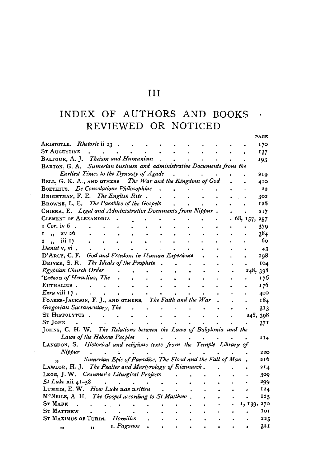## III

# NDEX OF AUTHORS AND BOOKS REVIEWED OR NOTICED

|                                                                       |                                                           |            |                      |           |           |  |   |             | PAGE  |
|-----------------------------------------------------------------------|-----------------------------------------------------------|------------|----------------------|-----------|-----------|--|---|-------------|-------|
| ARISTOTLE. Rhetoric ii 23                                             |                                                           |            |                      |           |           |  |   |             | 170   |
| <b>ST AUGUSTINE</b>                                                   | $\sim$                                                    |            |                      |           |           |  |   |             | 137   |
| BALFOUR, A. J. Theism and Humanism                                    |                                                           |            |                      |           |           |  |   |             | 193   |
| BARTON, G. A. Sumerian business and administrative Documents from the |                                                           |            |                      |           |           |  |   |             |       |
| Earliest Times to the Dynasty of Agade                                |                                                           |            |                      |           |           |  |   |             | 219   |
| BELL, G. K. A., AND OTHERS The War and the Kingdom of God             |                                                           |            |                      |           |           |  |   |             | 410   |
| BOETHIUS. De Consolatione Philosophiae                                |                                                           |            |                      |           |           |  |   |             | 22    |
| BRIGHTMAN, F. E. The English Rite.                                    |                                                           |            |                      |           |           |  |   |             | 302   |
| BROWNE, L. E. The Parables of the Gospels                             |                                                           |            |                      |           |           |  |   |             | 126   |
| CHIERA, E. Legal and Administrative Documents from Nippur.            |                                                           |            |                      |           |           |  |   |             | 717   |
| CLEMENT OF ALEXANDRIA                                                 |                                                           |            |                      |           |           |  |   | 68, 157,    | 257   |
| $r$ Cor. iv 6.                                                        |                                                           |            |                      |           |           |  |   |             | 379   |
| xv 26<br>r<br>$\cdot$                                                 |                                                           |            |                      |           |           |  |   |             | 384   |
| iii 17<br>2<br>$, \cdot$                                              | $\bullet$                                                 |            |                      |           |           |  |   |             | 60    |
| Daniel v, vi.                                                         |                                                           |            |                      |           |           |  |   |             | 43    |
| D'ARCY, C. F. God and Freedom in Human Experience                     |                                                           |            |                      |           |           |  |   |             | 198   |
| DRIVER, S. R. The Ideals of the Prophets                              |                                                           |            |                      |           |           |  |   |             | 104   |
| Egyptian Church Order                                                 |                                                           |            |                      |           |           |  |   | 248, 398    |       |
| *Εκθεσιs of Heraclius, The                                            |                                                           |            |                      |           |           |  |   |             | 176   |
| EUTHALIUS.                                                            | $\sim$                                                    |            | $\ddot{\phantom{0}}$ |           |           |  |   |             | 176   |
| Ezra viii 17.                                                         | <b>Contract Contract</b>                                  |            | $\ddot{\phantom{0}}$ | $\bullet$ | $\bullet$ |  |   |             | 400   |
| FOAKES-JACKSON, F. J., AND OTHERS. The Faith and the War              |                                                           |            |                      |           |           |  | ۰ |             | 184   |
| Gregorian Sacramentary, The                                           |                                                           |            | $\ddot{\phantom{0}}$ |           |           |  | ٠ |             | 313   |
| ST HIPPOLYTUS.                                                        |                                                           |            |                      |           |           |  |   | 248, 398    |       |
| St John                                                               |                                                           |            |                      |           |           |  |   |             | 371   |
| JOHNS, C. H. W. The Relations between the Laws of Babylonia and the   |                                                           |            |                      |           |           |  |   |             |       |
| Laws of the Hebrew Peoples                                            |                                                           |            |                      |           |           |  |   |             | 1 I 4 |
| LANGDON, S. Historical and religious texts from the Temple Library of |                                                           |            |                      |           |           |  |   |             |       |
| Nippur                                                                |                                                           |            |                      |           |           |  |   |             | 220   |
| ,,                                                                    | Sumerian Epic of Paradise, The Flood and the Fall of Man. |            |                      |           |           |  |   |             | 216   |
| LAWLOR, H. J. The Psalter and Martyrology of Ricemarch.               |                                                           |            |                      |           |           |  |   |             | 214   |
| LEGG, J. W. Cranmer's Liturgical Projects                             |                                                           |            |                      |           |           |  |   |             | 309   |
| St Luke xii 41-58                                                     |                                                           |            |                      |           |           |  |   |             | 299   |
| LUMMIS, E. W. How Luke was written                                    |                                                           |            |                      |           |           |  |   |             | 124   |
| M <sup>c</sup> NEILE, A. H. The Gospel according to St Matthew.       |                                                           |            |                      |           |           |  |   |             | 125   |
| <b>ST MARK</b><br>$\overline{a}$                                      |                                                           |            |                      |           |           |  |   | 1, 139, 270 |       |
| <b>ST MATTHEW</b>                                                     |                                                           |            |                      |           |           |  |   |             | IOI   |
| ST MAXIMUS OF TURIN. Homilies                                         |                                                           |            |                      |           |           |  |   |             | 225   |
| $\cdot$                                                               | $\rightarrow$                                             | c. Paganos |                      |           |           |  |   |             | 321   |